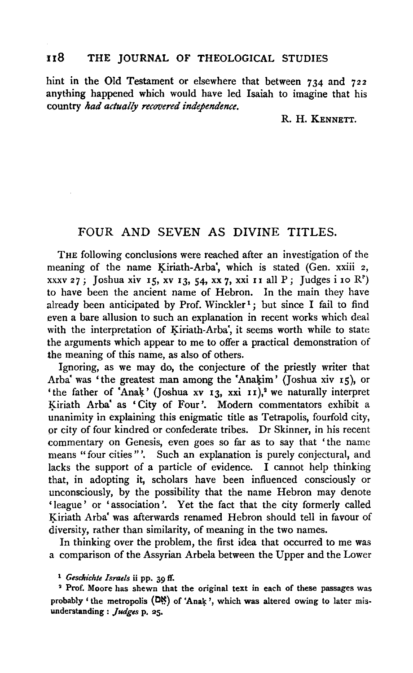## 118 THE JOURNAL OF THEOLOGICAL STUDIES

hint in the Old Testament or elsewhere that between 734 and 722 anything happened which would have led Isaiah to imagine that his country *kad actually recovered independence.* 

R. H. KENNETT.

## FOUR AND SEVEN AS DIVINE TITLES.

THE following conclusions were reached after an investigation of the meaning of the name Kiriath-Arba', which is stated (Gen. xxiii 2, xxxv 27; Joshua xiv 15, xv 13, 54, xx 7, xxi 11 all P; Judges i 10 R<sup>°</sup>) to have been the ancient name of Hebron. In the main they have already been anticipated by Prof. Winckler<sup>1</sup>; but since I fail to find even a bare allusion to such an explanation in recent works which deal with the interpretation of Kiriath-Arba', it seems worth while to state the arguments which appear to me to offer a practical demonstration of the meaning of this name, as also of others.

Ignoring, as we may do, the conjecture of the priestly writer that Arba' was 'the greatest man among the 'Anakim' (Joshua xiv 15), or 'the father of 'Anak' (Joshua xv  $I_3$ , xxi  $I_1$ ),<sup>2</sup> we naturally interpret Kiriath Arba' as 'City of Four'. Modern commentators exhibit a unanimity in explaining this enigmatic title as Tetrapolis, fourfold city, or city of four kindred or confederate tribes. Dr Skinner, in his recent commentary on Genesis, even goes so far as to say that 'the name means "four cities"'. Such an explanation is purely conjectural, and lacks the support of a particle of evidence. I cannot help thinking that, in adopting it, scholars have been influenced consciously or unconsciously, by the possibility that the name Hebron may denote 'league' or 'association'. Yet the fact that the city formerly called Kiriath Arba' was afterwards renamed Hebron should tell in favour of diversity, rather than similarity, of meaning in the two names.

In thinking over the problem, the first idea that occurred to me was a comparison of the Assyrian Arbela between the Upper and the Lower

<sup>1</sup>*Gesclrichte Israels* ii pp. 39 ff.

<sup>2</sup> Prof. Moore has shewn that the original text in each of these passages was probably ' the metropolis  $(D<sup>\ast</sup>_{\cdot})$  of 'Anak', which was altered owing to later misunderstanding : *judges* p. 25.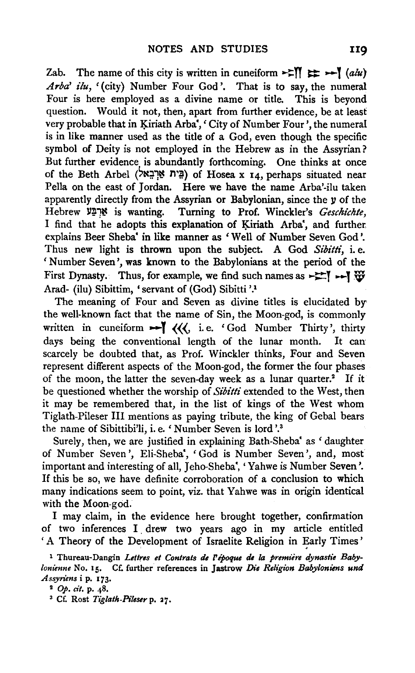Zab. The name of this city is written in cuneiform  $\approx$   $\mathbb{I}$   $\Rightarrow$   $\sim$   $\mathbb{I}$  *(alu) Arba' ilu,* '(city) Number Four God'. That is to say, the numeral Four is here employed as a divine name or title. This is beyond question. Would it not, then, apart from further evidence, be at least very probable that in Kiriath Arba', 'City of Number Four', the numeral is in like manner used as the title of a God, even though the specific symbol of Deity is not employed in the Hebrew as in the Assyrian? But further evidence is abundantly forthcoming. One thinks at once of the Beth Arbel (בְּית אַרְבָאל) of Hosea x 14, perhaps situated near Pella on the east of Jordan. Here we have the name Arba'-ilu taken apparently directly from the Assyrian or Babylonian, since the  $y$  of the Hebrew ll~1~ is wanting. Turning to Prof. Winckler's *Gesckichte,*  I find that he adopts this explanation of Kiriath Arba', and further, explains Beer Sheba' in like manner as 'Well of Number Seven God'. Thus new light is thrown upon the subject. A God *Sibitti,* i. e. 'Number Seven', was known to the Babylonians at the period of the First Dynasty. Thus, for example, we find such names as  $\rightarrow \rightarrow \rightarrow \mathbb{W}$ Arad- (ilu) Sibittim, 'servant of (God) Sibitti '.1

The meaning of Four and Seven as divine titles is elucidated by the well-known fact that the name of Sin, the Moon-god, is commonly written in cuneiform  $\blacktriangleright$  (((, i.e. 'God Number Thirty', thirty days being the conventional length of the lunar month. It can scarcely be doubted that, as Prof. Winckler thinks, Four and Seven represent different aspects of the Moon-god, the former the four phases of the moon, the latter the seven-day week as a lunar quarter.<sup>2</sup> If it be questioned whether the worship of *Sibitti* extended to the West, then it may be remembered that, in the list of kings of the West whom Tiglath-Pileser Ill mentions as paying tribute, the king of Gebal bears the name of Sibittibi'li, i.e. 'Number Seven is lord '.3

Surely, then, we are justified in explaining Bath-Sheba' as 'daughter of Number Seven', Eli-Sheba', 'God is Number Seven', and, most important and interesting of all, Jeho-Sheba', 'Yahwe is Number Seven'. If this be so, we have definite corroboration of a conclusion to which many indications seem to point, viz. that Yahwe was in origin identical with the Moon-god.

I may claim, in the evidence here brought together, confirmation of two inferences I drew two years ago in my article entitled ' A Theory of the Development of Israelite Religion in Early Times'

<sup>&</sup>lt;sup>1</sup> Thureau-Dangin Lettres et Contrats de l'époque de la première dynastie Baby*lonienne* No. 15. Cf. further references in Jastrow *Die Religion Babyloniens und Assyriens* i p. 173.<br><sup>2</sup> Op. *cit.* p. 48.<br><sup>3</sup> Cf. Rost *Tiglath-Pileser* p. 27.